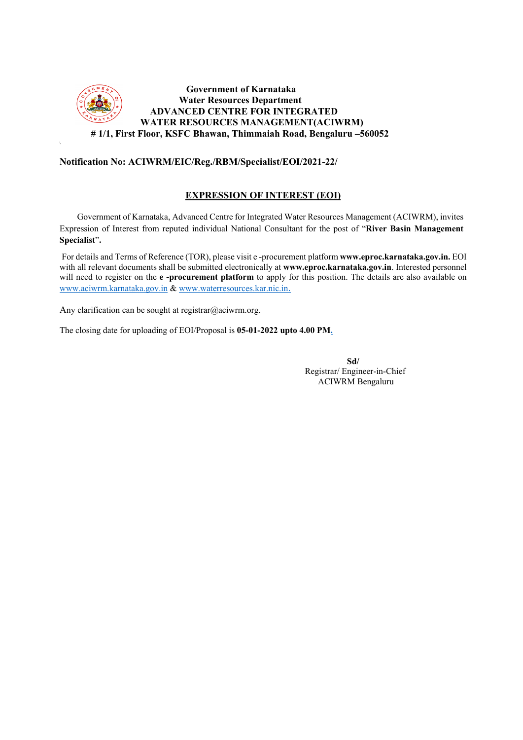### **Government of Karnataka Water Resources Department ADVANCED CENTRE FOR INTEGRATED WATER RESOURCES MANAGEMENT(ACIWRM) # 1/1, First Floor, KSFC Bhawan, Thimmaiah Road, Bengaluru –560052**

#### **Notification No: ACIWRM/EIC/Reg./RBM/Specialist/EOI/2021-22/**

#### **EXPRESSION OF INTEREST (EOI)**

 Government of Karnataka, Advanced Centre for Integrated Water Resources Management (ACIWRM), invites Expression of Interest from reputed individual National Consultant for the post of "**River Basin Management Specialist**"**.** 

For details and Terms of Reference (TOR), please visit e -procurement platform **www.eproc.karnataka.gov.in.** EOI with all relevant documents shall be submitted electronically at **www.eproc.karnataka.gov.in**. Interested personnel will need to register on the **e -procurement platform** to apply for this position. The details are also available on [www.aciwrm.karnataka.gov.in](http://www.aciwrm.karnataka.gov.in/) & [www.waterresources.kar.nic.in](http://www.waterresources.kar.nic.in/).

Any clarification can be sought at [registrar@aciwrm.org.](mailto:registrar@aciwrm.org)

**\** 

The closing date for uploading of EOI/Proposal is **05-01-2022 upto 4.00 PM.**

 **Sd/** Registrar/ Engineer-in-Chief ACIWRM Bengaluru